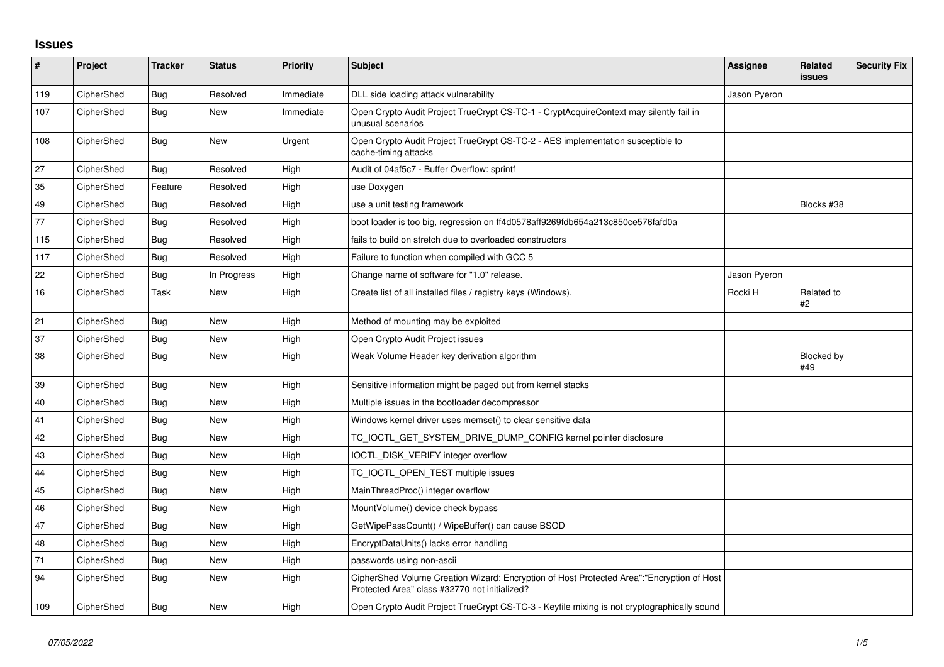## **Issues**

| $\sharp$ | Project    | <b>Tracker</b> | <b>Status</b> | <b>Priority</b> | <b>Subject</b>                                                                                                                             | <b>Assignee</b> | Related<br><b>issues</b> | <b>Security Fix</b> |
|----------|------------|----------------|---------------|-----------------|--------------------------------------------------------------------------------------------------------------------------------------------|-----------------|--------------------------|---------------------|
| 119      | CipherShed | Bug            | Resolved      | Immediate       | DLL side loading attack vulnerability                                                                                                      | Jason Pyeron    |                          |                     |
| 107      | CipherShed | <b>Bug</b>     | New           | Immediate       | Open Crypto Audit Project TrueCrypt CS-TC-1 - CryptAcquireContext may silently fail in<br>unusual scenarios                                |                 |                          |                     |
| 108      | CipherShed | <b>Bug</b>     | <b>New</b>    | Urgent          | Open Crypto Audit Project TrueCrypt CS-TC-2 - AES implementation susceptible to<br>cache-timing attacks                                    |                 |                          |                     |
| 27       | CipherShed | <b>Bug</b>     | Resolved      | High            | Audit of 04af5c7 - Buffer Overflow: sprintf                                                                                                |                 |                          |                     |
| 35       | CipherShed | Feature        | Resolved      | High            | use Doxygen                                                                                                                                |                 |                          |                     |
| 49       | CipherShed | <b>Bug</b>     | Resolved      | High            | use a unit testing framework                                                                                                               |                 | Blocks #38               |                     |
| 77       | CipherShed | <b>Bug</b>     | Resolved      | High            | boot loader is too big, regression on ff4d0578aff9269fdb654a213c850ce576fafd0a                                                             |                 |                          |                     |
| 115      | CipherShed | Bug            | Resolved      | High            | fails to build on stretch due to overloaded constructors                                                                                   |                 |                          |                     |
| 117      | CipherShed | Bug            | Resolved      | High            | Failure to function when compiled with GCC 5                                                                                               |                 |                          |                     |
| 22       | CipherShed | Bug            | In Progress   | High            | Change name of software for "1.0" release.                                                                                                 | Jason Pyeron    |                          |                     |
| 16       | CipherShed | Task           | New           | High            | Create list of all installed files / registry keys (Windows).                                                                              | Rocki H         | Related to<br>#2         |                     |
| 21       | CipherShed | Bug            | <b>New</b>    | High            | Method of mounting may be exploited                                                                                                        |                 |                          |                     |
| 37       | CipherShed | <b>Bug</b>     | <b>New</b>    | High            | Open Crypto Audit Project issues                                                                                                           |                 |                          |                     |
| 38       | CipherShed | Bug            | New           | High            | Weak Volume Header key derivation algorithm                                                                                                |                 | Blocked by<br>#49        |                     |
| 39       | CipherShed | Bug            | <b>New</b>    | High            | Sensitive information might be paged out from kernel stacks                                                                                |                 |                          |                     |
| 40       | CipherShed | <b>Bug</b>     | New           | High            | Multiple issues in the bootloader decompressor                                                                                             |                 |                          |                     |
| 41       | CipherShed | Bug            | <b>New</b>    | High            | Windows kernel driver uses memset() to clear sensitive data                                                                                |                 |                          |                     |
| 42       | CipherShed | Bug            | <b>New</b>    | High            | TC_IOCTL_GET_SYSTEM_DRIVE_DUMP_CONFIG kernel pointer disclosure                                                                            |                 |                          |                     |
| 43       | CipherShed | Bug            | New           | High            | IOCTL_DISK_VERIFY integer overflow                                                                                                         |                 |                          |                     |
| 44       | CipherShed | Bug            | <b>New</b>    | High            | TC_IOCTL_OPEN_TEST multiple issues                                                                                                         |                 |                          |                     |
| 45       | CipherShed | <b>Bug</b>     | New           | High            | MainThreadProc() integer overflow                                                                                                          |                 |                          |                     |
| 46       | CipherShed | Bug            | <b>New</b>    | High            | MountVolume() device check bypass                                                                                                          |                 |                          |                     |
| 47       | CipherShed | Bug            | <b>New</b>    | High            | GetWipePassCount() / WipeBuffer() can cause BSOD                                                                                           |                 |                          |                     |
| 48       | CipherShed | Bug            | New           | High            | EncryptDataUnits() lacks error handling                                                                                                    |                 |                          |                     |
| 71       | CipherShed | Bug            | <b>New</b>    | High            | passwords using non-ascii                                                                                                                  |                 |                          |                     |
| 94       | CipherShed | Bug            | <b>New</b>    | High            | CipherShed Volume Creation Wizard: Encryption of Host Protected Area":"Encryption of Host<br>Protected Area" class #32770 not initialized? |                 |                          |                     |
| 109      | CipherShed | Bug            | New           | High            | Open Crypto Audit Project TrueCrypt CS-TC-3 - Keyfile mixing is not cryptographically sound                                                |                 |                          |                     |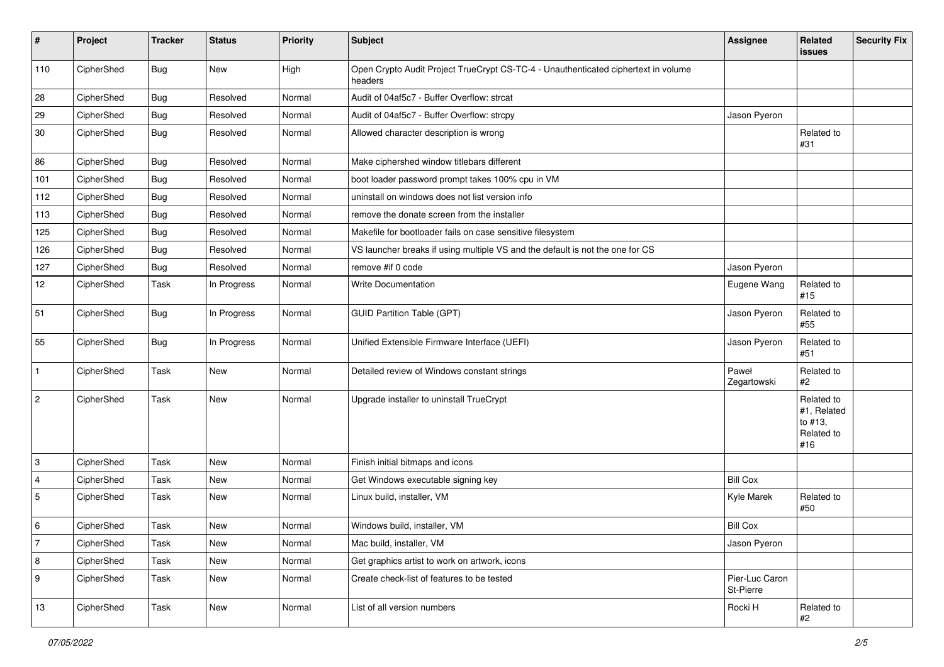| $\sharp$         | Project    | <b>Tracker</b> | <b>Status</b> | Priority | <b>Subject</b>                                                                                | Assignee                    | Related<br>issues                                         | <b>Security Fix</b> |
|------------------|------------|----------------|---------------|----------|-----------------------------------------------------------------------------------------------|-----------------------------|-----------------------------------------------------------|---------------------|
| 110              | CipherShed | <b>Bug</b>     | New           | High     | Open Crypto Audit Project TrueCrypt CS-TC-4 - Unauthenticated ciphertext in volume<br>headers |                             |                                                           |                     |
| 28               | CipherShed | <b>Bug</b>     | Resolved      | Normal   | Audit of 04af5c7 - Buffer Overflow: strcat                                                    |                             |                                                           |                     |
| 29               | CipherShed | <b>Bug</b>     | Resolved      | Normal   | Audit of 04af5c7 - Buffer Overflow: strcpy                                                    | Jason Pyeron                |                                                           |                     |
| 30               | CipherShed | Bug            | Resolved      | Normal   | Allowed character description is wrong                                                        |                             | Related to<br>#31                                         |                     |
| 86               | CipherShed | <b>Bug</b>     | Resolved      | Normal   | Make ciphershed window titlebars different                                                    |                             |                                                           |                     |
| 101              | CipherShed | <b>Bug</b>     | Resolved      | Normal   | boot loader password prompt takes 100% cpu in VM                                              |                             |                                                           |                     |
| 112              | CipherShed | <b>Bug</b>     | Resolved      | Normal   | uninstall on windows does not list version info                                               |                             |                                                           |                     |
| 113              | CipherShed | <b>Bug</b>     | Resolved      | Normal   | remove the donate screen from the installer                                                   |                             |                                                           |                     |
| 125              | CipherShed | <b>Bug</b>     | Resolved      | Normal   | Makefile for bootloader fails on case sensitive filesystem                                    |                             |                                                           |                     |
| 126              | CipherShed | <b>Bug</b>     | Resolved      | Normal   | VS launcher breaks if using multiple VS and the default is not the one for CS                 |                             |                                                           |                     |
| 127              | CipherShed | <b>Bug</b>     | Resolved      | Normal   | remove #if 0 code                                                                             | Jason Pyeron                |                                                           |                     |
| 12               | CipherShed | Task           | In Progress   | Normal   | Write Documentation                                                                           | Eugene Wang                 | Related to<br>#15                                         |                     |
| 51               | CipherShed | Bug            | In Progress   | Normal   | <b>GUID Partition Table (GPT)</b>                                                             | Jason Pyeron                | Related to<br>#55                                         |                     |
| 55               | CipherShed | Bug            | In Progress   | Normal   | Unified Extensible Firmware Interface (UEFI)                                                  | Jason Pyeron                | Related to<br>#51                                         |                     |
| $\mathbf{1}$     | CipherShed | Task           | New           | Normal   | Detailed review of Windows constant strings                                                   | Paweł<br>Zegartowski        | Related to<br>#2                                          |                     |
| $\overline{c}$   | CipherShed | Task           | New           | Normal   | Upgrade installer to uninstall TrueCrypt                                                      |                             | Related to<br>#1, Related<br>to #13,<br>Related to<br>#16 |                     |
| 3                | CipherShed | Task           | New           | Normal   | Finish initial bitmaps and icons                                                              |                             |                                                           |                     |
| 4                | CipherShed | Task           | New           | Normal   | Get Windows executable signing key                                                            | <b>Bill Cox</b>             |                                                           |                     |
| $\sqrt{5}$       | CipherShed | Task           | New           | Normal   | Linux build, installer, VM                                                                    | Kyle Marek                  | Related to<br>#50                                         |                     |
| 6                | CipherShed | Task           | New           | Normal   | Windows build, installer, VM                                                                  | <b>Bill Cox</b>             |                                                           |                     |
| $\overline{7}$   | CipherShed | Task           | New           | Normal   | Mac build, installer, VM                                                                      | Jason Pyeron                |                                                           |                     |
| 8                | CipherShed | Task           | New           | Normal   | Get graphics artist to work on artwork, icons                                                 |                             |                                                           |                     |
| $\boldsymbol{9}$ | CipherShed | Task           | New           | Normal   | Create check-list of features to be tested                                                    | Pier-Luc Caron<br>St-Pierre |                                                           |                     |
| 13               | CipherShed | Task           | New           | Normal   | List of all version numbers                                                                   | Rocki H                     | Related to<br>#2                                          |                     |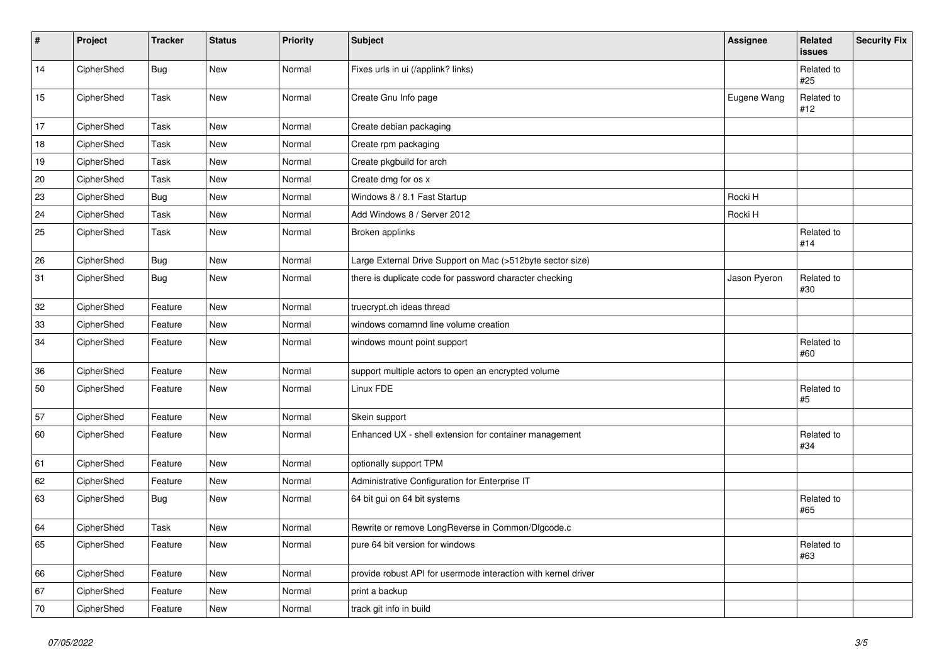| #  | Project    | <b>Tracker</b> | <b>Status</b> | <b>Priority</b> | <b>Subject</b>                                                 | Assignee     | Related<br>issues | <b>Security Fix</b> |
|----|------------|----------------|---------------|-----------------|----------------------------------------------------------------|--------------|-------------------|---------------------|
| 14 | CipherShed | Bug            | New           | Normal          | Fixes urls in ui (/applink? links)                             |              | Related to<br>#25 |                     |
| 15 | CipherShed | Task           | New           | Normal          | Create Gnu Info page                                           | Eugene Wang  | Related to<br>#12 |                     |
| 17 | CipherShed | Task           | New           | Normal          | Create debian packaging                                        |              |                   |                     |
| 18 | CipherShed | Task           | <b>New</b>    | Normal          | Create rpm packaging                                           |              |                   |                     |
| 19 | CipherShed | Task           | New           | Normal          | Create pkgbuild for arch                                       |              |                   |                     |
| 20 | CipherShed | Task           | New           | Normal          | Create dmg for os x                                            |              |                   |                     |
| 23 | CipherShed | <b>Bug</b>     | New           | Normal          | Windows 8 / 8.1 Fast Startup                                   | Rocki H      |                   |                     |
| 24 | CipherShed | Task           | New           | Normal          | Add Windows 8 / Server 2012                                    | Rocki H      |                   |                     |
| 25 | CipherShed | Task           | New           | Normal          | Broken applinks                                                |              | Related to<br>#14 |                     |
| 26 | CipherShed | <b>Bug</b>     | New           | Normal          | Large External Drive Support on Mac (>512byte sector size)     |              |                   |                     |
| 31 | CipherShed | <b>Bug</b>     | New           | Normal          | there is duplicate code for password character checking        | Jason Pyeron | Related to<br>#30 |                     |
| 32 | CipherShed | Feature        | New           | Normal          | truecrypt.ch ideas thread                                      |              |                   |                     |
| 33 | CipherShed | Feature        | New           | Normal          | windows comamnd line volume creation                           |              |                   |                     |
| 34 | CipherShed | Feature        | New           | Normal          | windows mount point support                                    |              | Related to<br>#60 |                     |
| 36 | CipherShed | Feature        | New           | Normal          | support multiple actors to open an encrypted volume            |              |                   |                     |
| 50 | CipherShed | Feature        | New           | Normal          | Linux FDE                                                      |              | Related to<br>#5  |                     |
| 57 | CipherShed | Feature        | New           | Normal          | Skein support                                                  |              |                   |                     |
| 60 | CipherShed | Feature        | New           | Normal          | Enhanced UX - shell extension for container management         |              | Related to<br>#34 |                     |
| 61 | CipherShed | Feature        | New           | Normal          | optionally support TPM                                         |              |                   |                     |
| 62 | CipherShed | Feature        | New           | Normal          | Administrative Configuration for Enterprise IT                 |              |                   |                     |
| 63 | CipherShed | <b>Bug</b>     | New           | Normal          | 64 bit gui on 64 bit systems                                   |              | Related to<br>#65 |                     |
| 64 | CipherShed | Task           | New           | Normal          | Rewrite or remove LongReverse in Common/Dlgcode.c              |              |                   |                     |
| 65 | CipherShed | Feature        | New           | Normal          | pure 64 bit version for windows                                |              | Related to<br>#63 |                     |
| 66 | CipherShed | Feature        | New           | Normal          | provide robust API for usermode interaction with kernel driver |              |                   |                     |
| 67 | CipherShed | Feature        | New           | Normal          | print a backup                                                 |              |                   |                     |
| 70 | CipherShed | Feature        | New           | Normal          | track git info in build                                        |              |                   |                     |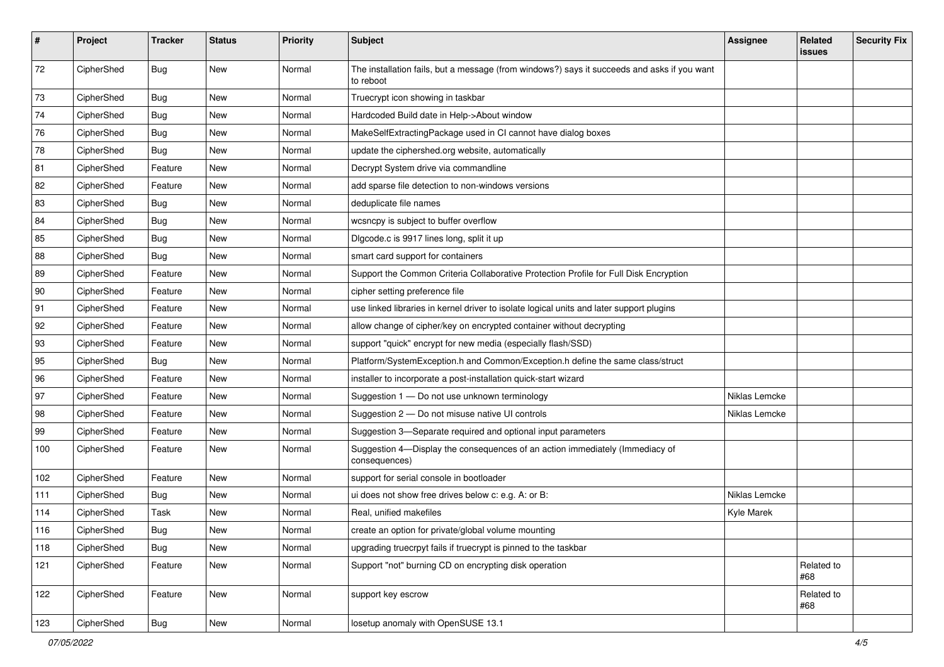| #   | Project    | <b>Tracker</b> | <b>Status</b> | Priority | <b>Subject</b>                                                                                           | <b>Assignee</b> | Related<br>issues | <b>Security Fix</b> |
|-----|------------|----------------|---------------|----------|----------------------------------------------------------------------------------------------------------|-----------------|-------------------|---------------------|
| 72  | CipherShed | Bug            | <b>New</b>    | Normal   | The installation fails, but a message (from windows?) says it succeeds and asks if you want<br>to reboot |                 |                   |                     |
| 73  | CipherShed | Bug            | New           | Normal   | Truecrypt icon showing in taskbar                                                                        |                 |                   |                     |
| 74  | CipherShed | <b>Bug</b>     | New           | Normal   | Hardcoded Build date in Help->About window                                                               |                 |                   |                     |
| 76  | CipherShed | Bug            | New           | Normal   | MakeSelfExtractingPackage used in CI cannot have dialog boxes                                            |                 |                   |                     |
| 78  | CipherShed | Bug            | <b>New</b>    | Normal   | update the ciphershed.org website, automatically                                                         |                 |                   |                     |
| 81  | CipherShed | Feature        | <b>New</b>    | Normal   | Decrypt System drive via commandline                                                                     |                 |                   |                     |
| 82  | CipherShed | Feature        | New           | Normal   | add sparse file detection to non-windows versions                                                        |                 |                   |                     |
| 83  | CipherShed | <b>Bug</b>     | New           | Normal   | deduplicate file names                                                                                   |                 |                   |                     |
| 84  | CipherShed | <b>Bug</b>     | New           | Normal   | wcsncpy is subject to buffer overflow                                                                    |                 |                   |                     |
| 85  | CipherShed | <b>Bug</b>     | New           | Normal   | Digcode.c is 9917 lines long, split it up                                                                |                 |                   |                     |
| 88  | CipherShed | Bug            | New           | Normal   | smart card support for containers                                                                        |                 |                   |                     |
| 89  | CipherShed | Feature        | New           | Normal   | Support the Common Criteria Collaborative Protection Profile for Full Disk Encryption                    |                 |                   |                     |
| 90  | CipherShed | Feature        | New           | Normal   | cipher setting preference file                                                                           |                 |                   |                     |
| 91  | CipherShed | Feature        | New           | Normal   | use linked libraries in kernel driver to isolate logical units and later support plugins                 |                 |                   |                     |
| 92  | CipherShed | Feature        | New           | Normal   | allow change of cipher/key on encrypted container without decrypting                                     |                 |                   |                     |
| 93  | CipherShed | Feature        | New           | Normal   | support "quick" encrypt for new media (especially flash/SSD)                                             |                 |                   |                     |
| 95  | CipherShed | Bug            | New           | Normal   | Platform/SystemException.h and Common/Exception.h define the same class/struct                           |                 |                   |                     |
| 96  | CipherShed | Feature        | New           | Normal   | installer to incorporate a post-installation quick-start wizard                                          |                 |                   |                     |
| 97  | CipherShed | Feature        | New           | Normal   | Suggestion 1 - Do not use unknown terminology                                                            | Niklas Lemcke   |                   |                     |
| 98  | CipherShed | Feature        | New           | Normal   | Suggestion 2 - Do not misuse native UI controls                                                          | Niklas Lemcke   |                   |                     |
| 99  | CipherShed | Feature        | New           | Normal   | Suggestion 3-Separate required and optional input parameters                                             |                 |                   |                     |
| 100 | CipherShed | Feature        | New           | Normal   | Suggestion 4-Display the consequences of an action immediately (Immediacy of<br>consequences)            |                 |                   |                     |
| 102 | CipherShed | Feature        | New           | Normal   | support for serial console in bootloader                                                                 |                 |                   |                     |
| 111 | CipherShed | Bug            | New           | Normal   | ui does not show free drives below c: e.g. A: or B:                                                      | Niklas Lemcke   |                   |                     |
| 114 | CipherShed | Task           | New           | Normal   | Real, unified makefiles                                                                                  | Kyle Marek      |                   |                     |
| 116 | CipherShed | Bug            | New           | Normal   | create an option for private/global volume mounting                                                      |                 |                   |                     |
| 118 | CipherShed | <b>Bug</b>     | New           | Normal   | upgrading truecrpyt fails if truecrypt is pinned to the taskbar                                          |                 |                   |                     |
| 121 | CipherShed | Feature        | New           | Normal   | Support "not" burning CD on encrypting disk operation                                                    |                 | Related to<br>#68 |                     |
| 122 | CipherShed | Feature        | New           | Normal   | support key escrow                                                                                       |                 | Related to<br>#68 |                     |
| 123 | CipherShed | <b>Bug</b>     | New           | Normal   | losetup anomaly with OpenSUSE 13.1                                                                       |                 |                   |                     |